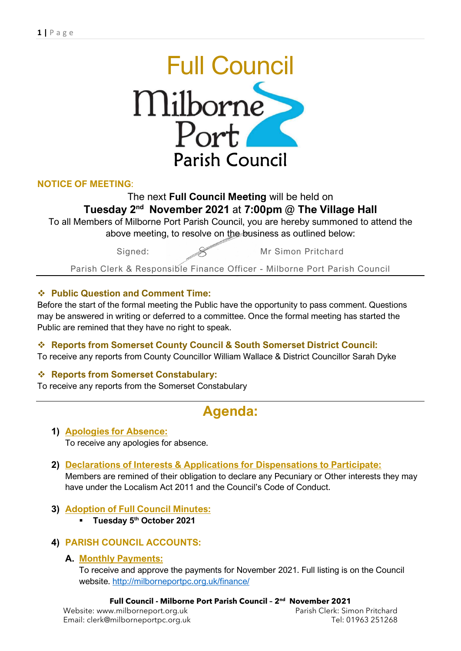

## NOTICE OF MEETING:

## The next Full Council Meeting will be held on Tuesday 2nd November 2021 at 7:00pm @ The Village Hall

To all Members of Milborne Port Parish Council, you are hereby summoned to attend the above meeting, to resolve on the business as outlined below:

Signed: Wr Simon Pritchard

Parish Clerk & Responsible Finance Officer - Milborne Port Parish Council

## Public Question and Comment Time:

Before the start of the formal meeting the Public have the opportunity to pass comment. Questions may be answered in writing or deferred to a committee. Once the formal meeting has started the Public are remined that they have no right to speak.

#### Reports from Somerset County Council & South Somerset District Council: To receive any reports from County Councillor William Wallace & District Councillor Sarah Dyke

## ❖ Reports from Somerset Constabulary:

To receive any reports from the Somerset Constabulary

# Agenda:

- 1) Apologies for Absence: To receive any apologies for absence.
- 2) Declarations of Interests & Applications for Dispensations to Participate: Members are remined of their obligation to declare any Pecuniary or Other interests they may have under the Localism Act 2011 and the Council's Code of Conduct.
- 3) Adoption of Full Council Minutes:
	- **Tuesday 5<sup>th</sup> October 2021**

## 4) PARISH COUNCIL ACCOUNTS:

#### A. Monthly Payments:

To receive and approve the payments for November 2021. Full listing is on the Council website. http://milborneportpc.org.uk/finance/

#### Full Council - Milborne Port Parish Council – 2nd November 2021